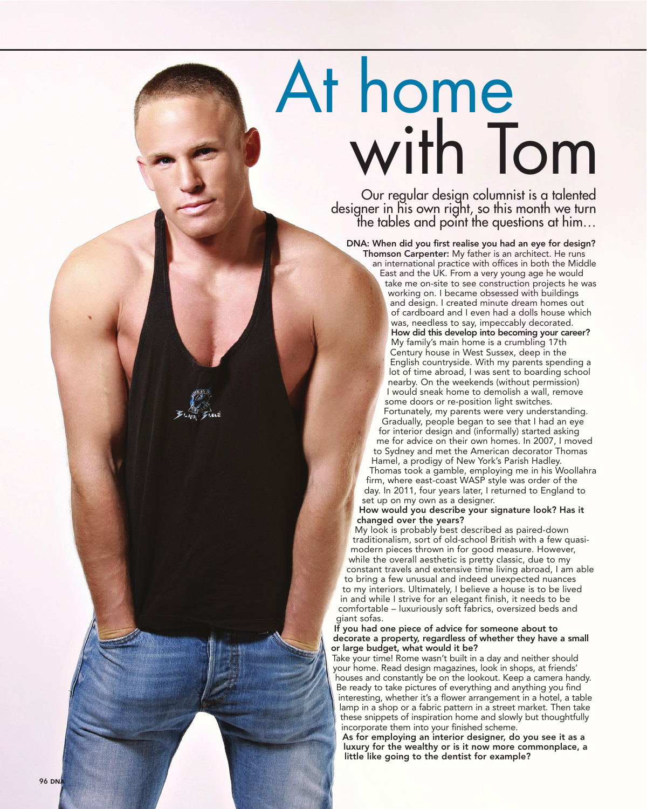# At home<br>with Tom

designer in his own right, so this month we turn the tables and point the questions at him…

DNA: When did you first realise you had an eye for design? Thomson Carpenter: My father is an architect. He runs

an international practice with offices in both the Middle East and the UK. From a very young age he would take me on-site to see construction projects he was working on. I became obsessed with buildings and design. I created minute dream homes out of cardboard and I even had a dolls house which was, needless to say, impeccably decorated. How did this develop into becoming your career? My family's main home is a crumbling 17th Century house in West Sussex, deep in the English countryside. With my parents spending a lot of time abroad, I was sent to boarding school nearby. On the weekends (without permission) I would sneak home to demolish a wall, remove some doors or re-position light switches.

Fortunately, my parents were very understanding. Gradually, people began to see that I had an eye for interior design and (informally) started asking me for advice on their own homes. In 2007, I moved to Sydney and met the American decorator Thomas Hamel, a prodigy of New York's Parish Hadley. Thomas took a gamble, employing me in his Woollahra firm, where east-coast WASP style was order of the day. In 2011, four years later, I returned to England to set up on my own as a designer.

### How would you describe your signature look? Has it changed over the years?

My look is probably best described as paired-down traditionalism, sort of old-school British with a few quasimodern pieces thrown in for good measure. However, while the overall aesthetic is pretty classic, due to my constant travels and extensive time living abroad, I am able to bring a few unusual and indeed unexpected nuances to my interiors. Ultimately, I believe a house is to be lived in and while I strive for an elegant finish, it needs to be comfortable – luxuriously soft fabrics, oversized beds and giant sofas.

### If you had one piece of advice for someone about to decorate a property, regardless of whether they have a small or large budget, what would it be?

Take your time! Rome wasn't built in a day and neither should your home. Read design magazines, look in shops, at friends' houses and constantly be on the lookout. Keep a camera handy. Be ready to take pictures of everything and anything you find interesting, whether it's a flower arrangement in a hotel, a table lamp in a shop or a fabric pattern in a street market. Then take these snippets of inspiration home and slowly but thoughtfully incorporate them into your finished scheme.

As for employing an interior designer, do you see it as a luxury for the wealthy or is it now more commonplace, a little like going to the dentist for example?